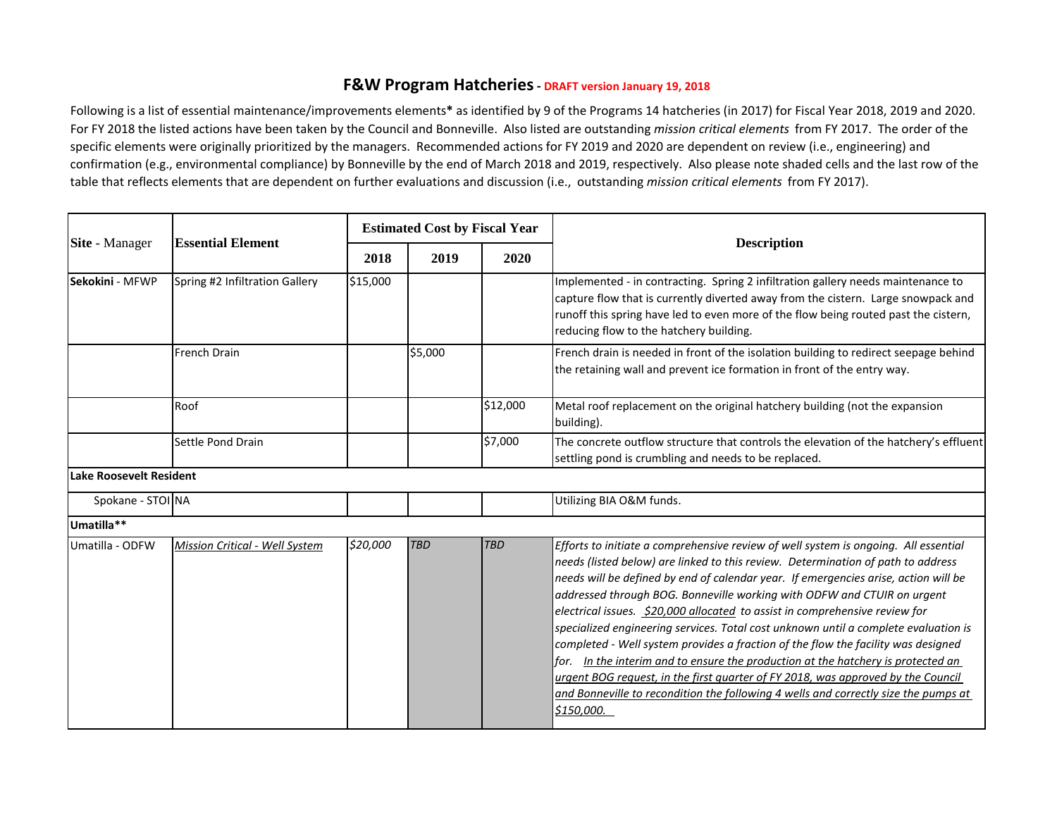## **F&W Program Hatcheries - DRAFT version January 19, 2018**

Following is a list of essential maintenance/improvements elements**\*** as identified by 9 of the Programs 14 hatcheries (in 2017) for Fiscal Year 2018, 2019 and 2020. For FY 2018 the listed actions have been taken by the Council and Bonneville. Also listed are outstanding *mission critical elements* from FY 2017. The order of the specific elements were originally prioritized by the managers. Recommended actions for FY 2019 and 2020 are dependent on review (i.e., engineering) and confirmation (e.g., environmental compliance) by Bonneville by the end of March 2018 and 2019, respectively. Also please note shaded cells and the last row of the table that reflects elements that are dependent on further evaluations and discussion (i.e., outstanding *mission critical elements* from FY 2017).

| Site - Manager                 | <b>Essential Element</b>       | <b>Estimated Cost by Fiscal Year</b> |            |            |                                                                                                                                                                                                                                                                                                                                                                                                                                                                                                                                                                                                                                                                                                                                                                                                                                                                                   |
|--------------------------------|--------------------------------|--------------------------------------|------------|------------|-----------------------------------------------------------------------------------------------------------------------------------------------------------------------------------------------------------------------------------------------------------------------------------------------------------------------------------------------------------------------------------------------------------------------------------------------------------------------------------------------------------------------------------------------------------------------------------------------------------------------------------------------------------------------------------------------------------------------------------------------------------------------------------------------------------------------------------------------------------------------------------|
|                                |                                | 2018                                 | 2019       | 2020       | <b>Description</b>                                                                                                                                                                                                                                                                                                                                                                                                                                                                                                                                                                                                                                                                                                                                                                                                                                                                |
| Sekokini - MFWP                | Spring #2 Infiltration Gallery | \$15,000                             |            |            | Implemented - in contracting. Spring 2 infiltration gallery needs maintenance to<br>capture flow that is currently diverted away from the cistern. Large snowpack and<br>runoff this spring have led to even more of the flow being routed past the cistern,<br>reducing flow to the hatchery building.                                                                                                                                                                                                                                                                                                                                                                                                                                                                                                                                                                           |
|                                | <b>French Drain</b>            |                                      | \$5,000    |            | French drain is needed in front of the isolation building to redirect seepage behind<br>the retaining wall and prevent ice formation in front of the entry way.                                                                                                                                                                                                                                                                                                                                                                                                                                                                                                                                                                                                                                                                                                                   |
|                                | Roof                           |                                      |            | \$12,000   | Metal roof replacement on the original hatchery building (not the expansion<br>building).                                                                                                                                                                                                                                                                                                                                                                                                                                                                                                                                                                                                                                                                                                                                                                                         |
|                                | Settle Pond Drain              |                                      |            | \$7,000    | The concrete outflow structure that controls the elevation of the hatchery's effluent<br>settling pond is crumbling and needs to be replaced.                                                                                                                                                                                                                                                                                                                                                                                                                                                                                                                                                                                                                                                                                                                                     |
| <b>Lake Roosevelt Resident</b> |                                |                                      |            |            |                                                                                                                                                                                                                                                                                                                                                                                                                                                                                                                                                                                                                                                                                                                                                                                                                                                                                   |
| Spokane - STOI NA              |                                |                                      |            |            | Utilizing BIA O&M funds.                                                                                                                                                                                                                                                                                                                                                                                                                                                                                                                                                                                                                                                                                                                                                                                                                                                          |
| Umatilla**                     |                                |                                      |            |            |                                                                                                                                                                                                                                                                                                                                                                                                                                                                                                                                                                                                                                                                                                                                                                                                                                                                                   |
| Umatilla - ODFW                | Mission Critical - Well System | \$20,000                             | <b>TBD</b> | <b>TBD</b> | Efforts to initiate a comprehensive review of well system is ongoing. All essential<br>needs (listed below) are linked to this review. Determination of path to address<br>needs will be defined by end of calendar year. If emergencies arise, action will be<br>addressed through BOG. Bonneville working with ODFW and CTUIR on urgent<br>electrical issues. \$20,000 allocated to assist in comprehensive review for<br>specialized engineering services. Total cost unknown until a complete evaluation is<br>completed - Well system provides a fraction of the flow the facility was designed<br>for. In the interim and to ensure the production at the hatchery is protected an<br>urgent BOG request, in the first quarter of FY 2018, was approved by the Council<br>and Bonneville to recondition the following 4 wells and correctly size the pumps at<br>\$150,000. |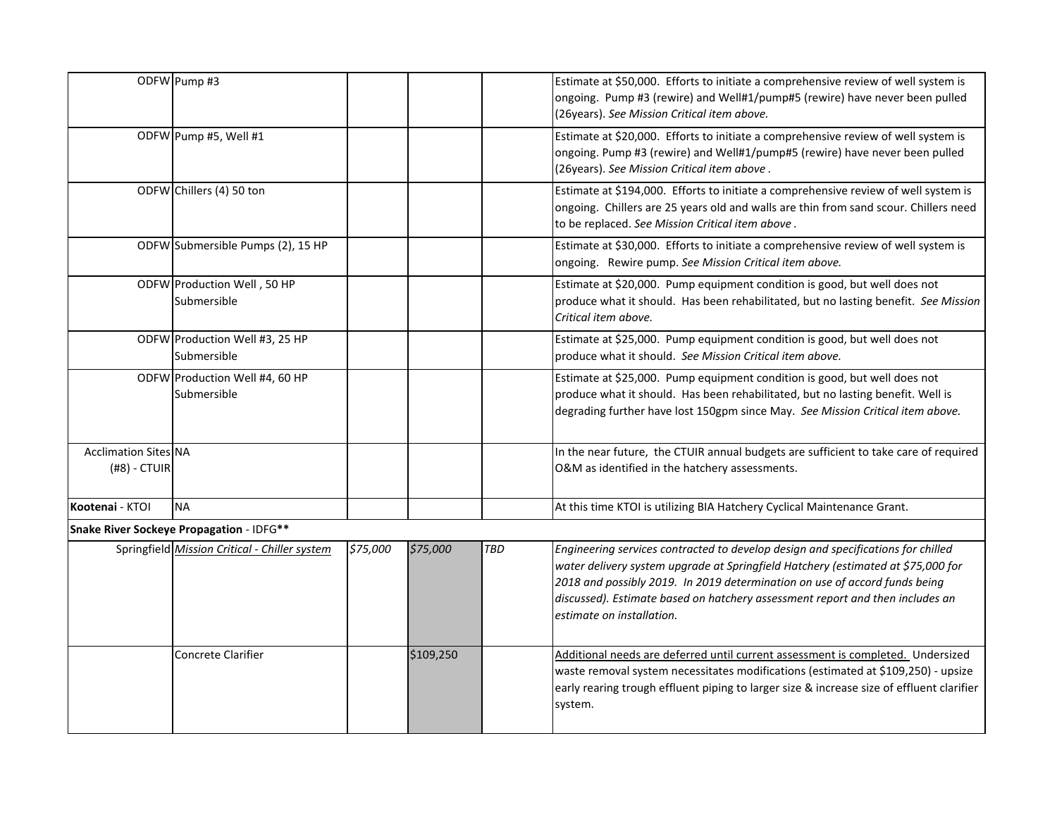|                                               | ODFW Pump #3                                  |          |           |     | Estimate at \$50,000. Efforts to initiate a comprehensive review of well system is<br>ongoing. Pump #3 (rewire) and Well#1/pump#5 (rewire) have never been pulled<br>(26years). See Mission Critical item above.                                                                                                                                                 |
|-----------------------------------------------|-----------------------------------------------|----------|-----------|-----|------------------------------------------------------------------------------------------------------------------------------------------------------------------------------------------------------------------------------------------------------------------------------------------------------------------------------------------------------------------|
|                                               | ODFW Pump #5, Well #1                         |          |           |     | Estimate at \$20,000. Efforts to initiate a comprehensive review of well system is<br>ongoing. Pump #3 (rewire) and Well#1/pump#5 (rewire) have never been pulled<br>(26years). See Mission Critical item above.                                                                                                                                                 |
|                                               | ODFW Chillers (4) 50 ton                      |          |           |     | Estimate at \$194,000. Efforts to initiate a comprehensive review of well system is<br>ongoing. Chillers are 25 years old and walls are thin from sand scour. Chillers need<br>to be replaced. See Mission Critical item above.                                                                                                                                  |
|                                               | ODFW Submersible Pumps (2), 15 HP             |          |           |     | Estimate at \$30,000. Efforts to initiate a comprehensive review of well system is<br>ongoing. Rewire pump. See Mission Critical item above.                                                                                                                                                                                                                     |
|                                               | ODFW Production Well, 50 HP<br>Submersible    |          |           |     | Estimate at \$20,000. Pump equipment condition is good, but well does not<br>produce what it should. Has been rehabilitated, but no lasting benefit. See Mission<br>Critical item above.                                                                                                                                                                         |
|                                               | ODFW Production Well #3, 25 HP<br>Submersible |          |           |     | Estimate at \$25,000. Pump equipment condition is good, but well does not<br>produce what it should. See Mission Critical item above.                                                                                                                                                                                                                            |
|                                               | ODFW Production Well #4, 60 HP<br>Submersible |          |           |     | Estimate at \$25,000. Pump equipment condition is good, but well does not<br>produce what it should. Has been rehabilitated, but no lasting benefit. Well is<br>degrading further have lost 150gpm since May. See Mission Critical item above.                                                                                                                   |
| <b>Acclimation Sites NA</b><br>$(H8)$ - CTUIR |                                               |          |           |     | In the near future, the CTUIR annual budgets are sufficient to take care of required<br>O&M as identified in the hatchery assessments.                                                                                                                                                                                                                           |
| Kootenai - KTOI                               | <b>NA</b>                                     |          |           |     | At this time KTOI is utilizing BIA Hatchery Cyclical Maintenance Grant.                                                                                                                                                                                                                                                                                          |
|                                               | Snake River Sockeye Propagation - IDFG**      |          |           |     |                                                                                                                                                                                                                                                                                                                                                                  |
|                                               | Springfield Mission Critical - Chiller system | \$75,000 | \$75,000  | TBD | Engineering services contracted to develop design and specifications for chilled<br>water delivery system upgrade at Springfield Hatchery (estimated at \$75,000 for<br>2018 and possibly 2019. In 2019 determination on use of accord funds being<br>discussed). Estimate based on hatchery assessment report and then includes an<br>estimate on installation. |
|                                               | Concrete Clarifier                            |          | \$109,250 |     | Additional needs are deferred until current assessment is completed. Undersized<br>waste removal system necessitates modifications (estimated at \$109,250) - upsize<br>early rearing trough effluent piping to larger size & increase size of effluent clarifier<br>system.                                                                                     |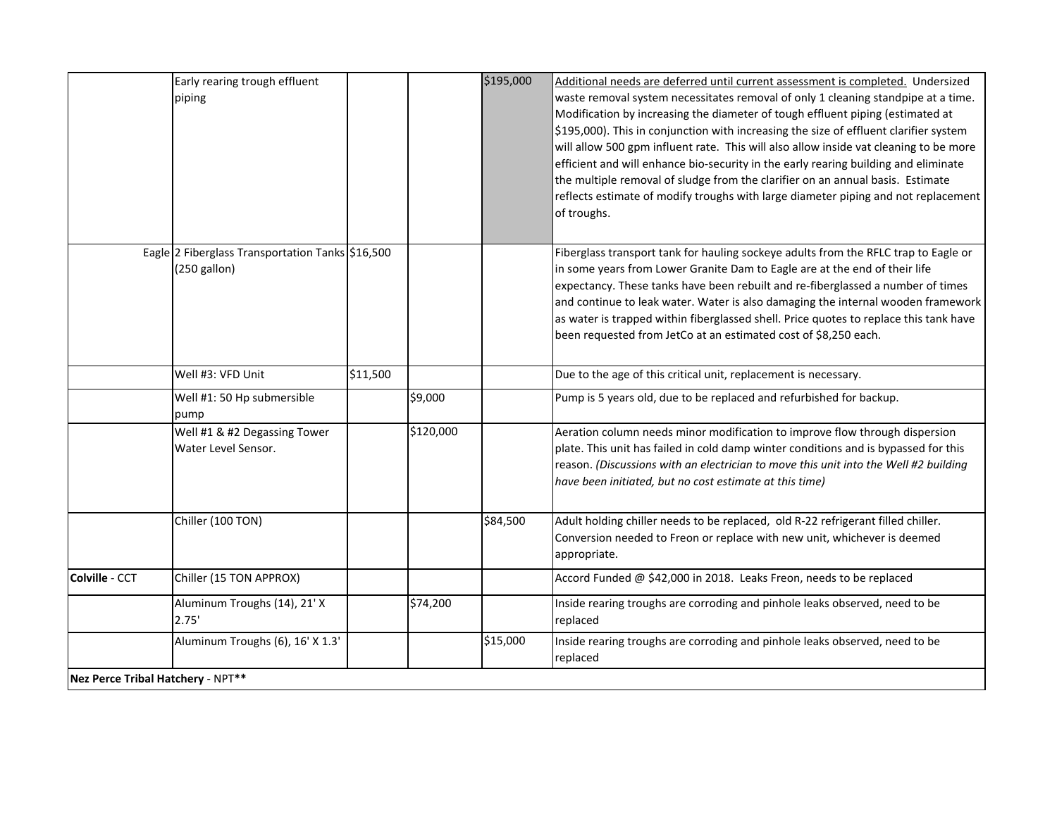|                                   | Early rearing trough effluent                                      |          |           | \$195,000 | Additional needs are deferred until current assessment is completed. Undersized                                                                                                                                                                                                                                                                                                                                                                                                                                                                                                                                                     |
|-----------------------------------|--------------------------------------------------------------------|----------|-----------|-----------|-------------------------------------------------------------------------------------------------------------------------------------------------------------------------------------------------------------------------------------------------------------------------------------------------------------------------------------------------------------------------------------------------------------------------------------------------------------------------------------------------------------------------------------------------------------------------------------------------------------------------------------|
|                                   | piping                                                             |          |           |           | waste removal system necessitates removal of only 1 cleaning standpipe at a time.<br>Modification by increasing the diameter of tough effluent piping (estimated at<br>\$195,000). This in conjunction with increasing the size of effluent clarifier system<br>will allow 500 gpm influent rate. This will also allow inside vat cleaning to be more<br>efficient and will enhance bio-security in the early rearing building and eliminate<br>the multiple removal of sludge from the clarifier on an annual basis. Estimate<br>reflects estimate of modify troughs with large diameter piping and not replacement<br>of troughs. |
|                                   | Eagle 2 Fiberglass Transportation Tanks \$16,500<br>$(250$ gallon) |          |           |           | Fiberglass transport tank for hauling sockeye adults from the RFLC trap to Eagle or<br>in some years from Lower Granite Dam to Eagle are at the end of their life<br>expectancy. These tanks have been rebuilt and re-fiberglassed a number of times<br>and continue to leak water. Water is also damaging the internal wooden framework<br>as water is trapped within fiberglassed shell. Price quotes to replace this tank have<br>been requested from JetCo at an estimated cost of \$8,250 each.                                                                                                                                |
|                                   | Well #3: VFD Unit                                                  | \$11,500 |           |           | Due to the age of this critical unit, replacement is necessary.                                                                                                                                                                                                                                                                                                                                                                                                                                                                                                                                                                     |
|                                   | Well #1: 50 Hp submersible<br>pump                                 |          | \$9,000   |           | Pump is 5 years old, due to be replaced and refurbished for backup.                                                                                                                                                                                                                                                                                                                                                                                                                                                                                                                                                                 |
|                                   | Well #1 & #2 Degassing Tower<br>Water Level Sensor.                |          | \$120,000 |           | Aeration column needs minor modification to improve flow through dispersion<br>plate. This unit has failed in cold damp winter conditions and is bypassed for this<br>reason. (Discussions with an electrician to move this unit into the Well #2 building<br>have been initiated, but no cost estimate at this time)                                                                                                                                                                                                                                                                                                               |
|                                   | Chiller (100 TON)                                                  |          |           | \$84,500  | Adult holding chiller needs to be replaced, old R-22 refrigerant filled chiller.<br>Conversion needed to Freon or replace with new unit, whichever is deemed<br>appropriate.                                                                                                                                                                                                                                                                                                                                                                                                                                                        |
| <b>Colville - CCT</b>             | Chiller (15 TON APPROX)                                            |          |           |           | Accord Funded @ \$42,000 in 2018. Leaks Freon, needs to be replaced                                                                                                                                                                                                                                                                                                                                                                                                                                                                                                                                                                 |
|                                   | Aluminum Troughs (14), 21' X<br>2.75'                              |          | \$74,200  |           | Inside rearing troughs are corroding and pinhole leaks observed, need to be<br>replaced                                                                                                                                                                                                                                                                                                                                                                                                                                                                                                                                             |
|                                   | Aluminum Troughs (6), 16' X 1.3'                                   |          |           | \$15,000  | Inside rearing troughs are corroding and pinhole leaks observed, need to be<br>replaced                                                                                                                                                                                                                                                                                                                                                                                                                                                                                                                                             |
| Nez Perce Tribal Hatchery - NPT** |                                                                    |          |           |           |                                                                                                                                                                                                                                                                                                                                                                                                                                                                                                                                                                                                                                     |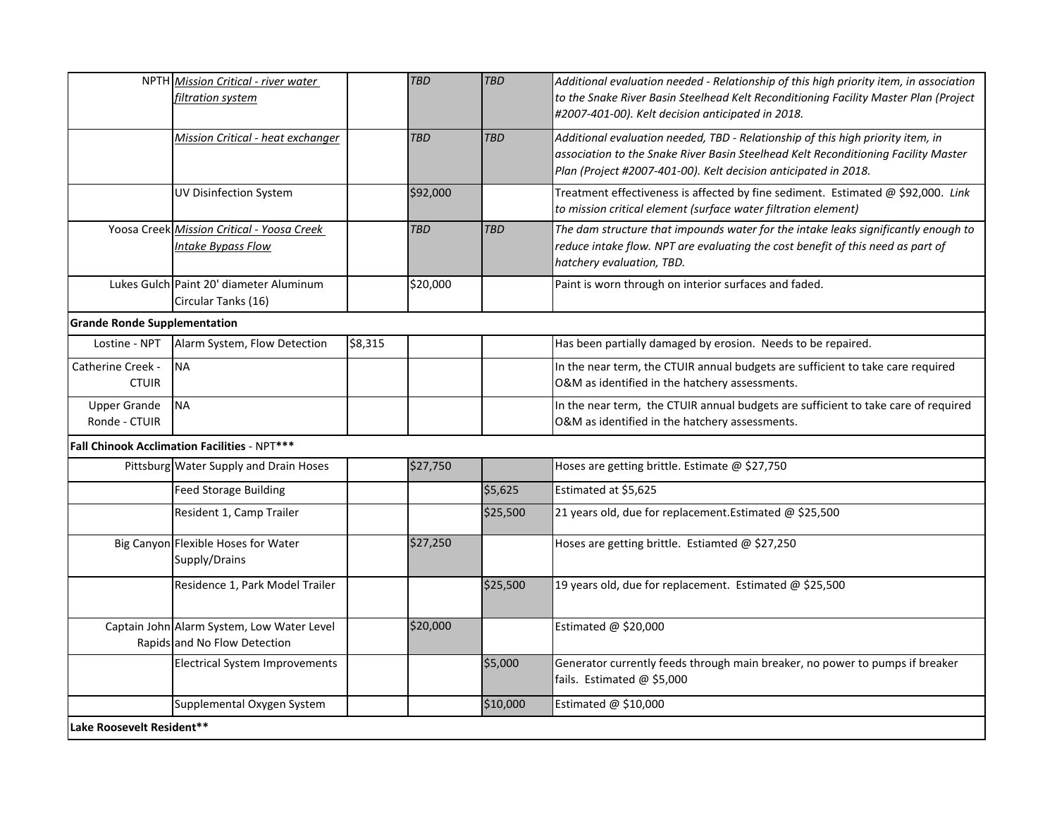|                                      | NPTH Mission Critical - river water<br>filtration system                   |         | <b>TBD</b> | <b>TBD</b> | Additional evaluation needed - Relationship of this high priority item, in association<br>to the Snake River Basin Steelhead Kelt Reconditioning Facility Master Plan (Project                                                           |  |  |
|--------------------------------------|----------------------------------------------------------------------------|---------|------------|------------|------------------------------------------------------------------------------------------------------------------------------------------------------------------------------------------------------------------------------------------|--|--|
|                                      |                                                                            |         |            |            | #2007-401-00). Kelt decision anticipated in 2018.                                                                                                                                                                                        |  |  |
|                                      | <b>Mission Critical - heat exchanger</b>                                   |         | <b>TBD</b> | <b>TBD</b> | Additional evaluation needed, TBD - Relationship of this high priority item, in<br>association to the Snake River Basin Steelhead Kelt Reconditioning Facility Master<br>Plan (Project #2007-401-00). Kelt decision anticipated in 2018. |  |  |
|                                      | <b>UV Disinfection System</b>                                              |         | \$92,000   |            | Treatment effectiveness is affected by fine sediment. Estimated @ \$92,000. Link<br>to mission critical element (surface water filtration element)                                                                                       |  |  |
|                                      | Yoosa Creek Mission Critical - Yoosa Creek<br>Intake Bypass Flow           |         | <b>TBD</b> | <b>TBD</b> | The dam structure that impounds water for the intake leaks significantly enough to<br>reduce intake flow. NPT are evaluating the cost benefit of this need as part of<br>hatchery evaluation, TBD.                                       |  |  |
|                                      | Lukes Gulch Paint 20' diameter Aluminum<br>Circular Tanks (16)             |         | \$20,000   |            | Paint is worn through on interior surfaces and faded.                                                                                                                                                                                    |  |  |
| <b>Grande Ronde Supplementation</b>  |                                                                            |         |            |            |                                                                                                                                                                                                                                          |  |  |
| Lostine - NPT                        | Alarm System, Flow Detection                                               | \$8,315 |            |            | Has been partially damaged by erosion. Needs to be repaired.                                                                                                                                                                             |  |  |
| Catherine Creek -<br><b>CTUIR</b>    | <b>NA</b>                                                                  |         |            |            | In the near term, the CTUIR annual budgets are sufficient to take care required<br>O&M as identified in the hatchery assessments.                                                                                                        |  |  |
| <b>Upper Grande</b><br>Ronde - CTUIR | <b>NA</b>                                                                  |         |            |            | In the near term, the CTUIR annual budgets are sufficient to take care of required<br>O&M as identified in the hatchery assessments.                                                                                                     |  |  |
|                                      | Fall Chinook Acclimation Facilities - NPT***                               |         |            |            |                                                                                                                                                                                                                                          |  |  |
|                                      | Pittsburg Water Supply and Drain Hoses                                     |         | \$27,750   |            | Hoses are getting brittle. Estimate @ \$27,750                                                                                                                                                                                           |  |  |
|                                      | <b>Feed Storage Building</b>                                               |         |            | \$5,625    | Estimated at \$5,625                                                                                                                                                                                                                     |  |  |
|                                      | Resident 1, Camp Trailer                                                   |         |            | \$25,500   | 21 years old, due for replacement. Estimated @ \$25,500                                                                                                                                                                                  |  |  |
|                                      | Big Canyon Flexible Hoses for Water<br>Supply/Drains                       |         | \$27,250   |            | Hoses are getting brittle. Estiamted @ \$27,250                                                                                                                                                                                          |  |  |
|                                      | Residence 1, Park Model Trailer                                            |         |            | \$25,500   | 19 years old, due for replacement. Estimated @ \$25,500                                                                                                                                                                                  |  |  |
|                                      | Captain John Alarm System, Low Water Level<br>Rapids and No Flow Detection |         | \$20,000   |            | Estimated @ \$20,000                                                                                                                                                                                                                     |  |  |
|                                      | Electrical System Improvements                                             |         |            | \$5,000    | Generator currently feeds through main breaker, no power to pumps if breaker<br>fails. Estimated @ \$5,000                                                                                                                               |  |  |
|                                      | Supplemental Oxygen System                                                 |         |            | \$10,000   | Estimated @ \$10,000                                                                                                                                                                                                                     |  |  |
| Lake Roosevelt Resident**            |                                                                            |         |            |            |                                                                                                                                                                                                                                          |  |  |